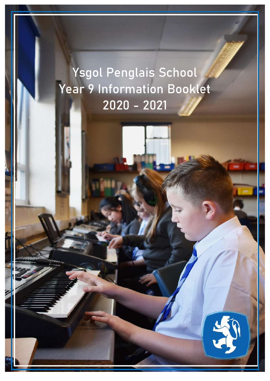# Ysgol Penglais School Year 9 Information Booklet 2020 - 2021

1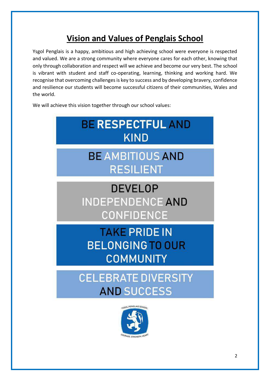# **Vision and Values of Penglais School**

Ysgol Penglais is a happy, ambitious and high achieving school were everyone is respected and valued. We are a strong community where everyone cares for each other, knowing that only through collaboration and respect will we achieve and become our very best. The school is vibrant with student and staff co-operating, learning, thinking and working hard. We recognise that overcoming challenges is key to success and by developing bravery, confidence and resilience our students will become successful citizens of their communities, Wales and the world.

We will achieve this vision together through our school values:

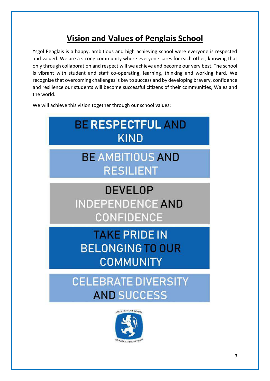# **Vision and Values of Penglais School**

Ysgol Penglais is a happy, ambitious and high achieving school were everyone is respected and valued. We are a strong community where everyone cares for each other, knowing that only through collaboration and respect will we achieve and become our very best. The school is vibrant with student and staff co-operating, learning, thinking and working hard. We recognise that overcoming challenges is key to success and by developing bravery, confidence and resilience our students will become successful citizens of their communities, Wales and the world.

We will achieve this vision together through our school values:



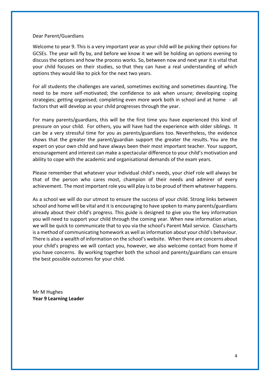#### Dear Parent/Guardians

Welcome to year 9. This is a very important year as your child will be picking their options for GCSEs. The year will fly by, and before we know it we will be holding an options evening to discuss the options and how the process works. So, between now and next year it is vital that your child focuses on their studies, so that they can have a real understanding of which options they would like to pick for the next two years.

For all students the challenges are varied, sometimes exciting and sometimes daunting. The need to be more self-motivated; the confidence to ask when unsure; developing coping strategies; getting organised; completing even more work both in school and at home - all factors that will develop as your child progresses through the year.

For many parents/guardians, this will be the first time you have experienced this kind of pressure on your child. For others, you will have had the experience with older siblings. It can be a very stressful time for you as parents/guardians too. Nevertheless, the evidence shows that the greater the parent/guardian support the greater the results. You are the expert on your own child and have always been their most important teacher. Your support, encouragement and interest can make a spectacular difference to your child's motivation and ability to cope with the academic and organisational demands of the exam years.

Please remember that whatever your individual child's needs, your chief role will always be that of the person who cares most, champion of their needs and admirer of every achievement. The most important role you will play is to be proud of them whatever happens.

As a school we will do our utmost to ensure the success of your child. Strong links between school and home will be vital and it is encouraging to have spoken to many parents/guardians already about their child's progress. This guide is designed to give you the key information you will need to support your child through the coming year. When new information arises, we will be quick to communicate that to you via the school's Parent Mail service. Classcharts is a method of communicating homework as well as information about your child's behaviour. There is also a wealth of information on the school's website. When there are concerns about your child's progress we will contact you, however, we also welcome contact from home if you have concerns. By working together both the school and parents/guardians can ensure the best possible outcomes for your child.

Mr M Hughes **Year 9 Learning Leader**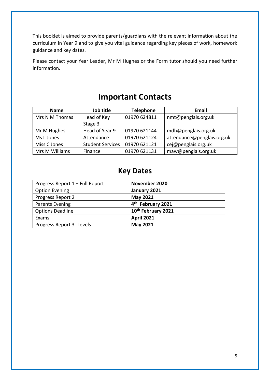This booklet is aimed to provide parents/guardians with the relevant information about the curriculum in Year 9 and to give you vital guidance regarding key pieces of work, homework guidance and key dates.

Please contact your Year Leader, Mr M Hughes or the Form tutor should you need further information.

# **Important Contacts**

| <b>Name</b>    | Job title               | <b>Telephone</b> | <b>Email</b>               |
|----------------|-------------------------|------------------|----------------------------|
| Mrs N M Thomas | Head of Key             | 01970 624811     | nmt@penglais.org.uk        |
|                | Stage 3                 |                  |                            |
| Mr M Hughes    | Head of Year 9          | 01970 621144     | mdh@penglais.org.uk        |
| Ms L Jones     | Attendance              | 01970 621124     | attendance@penglais.org.uk |
| Miss C Jones   | <b>Student Services</b> | 01970 621121     | cej@penglais.org.uk        |
| Mrs M Williams | Finance                 | 01970 621131     | maw@penglais.org.uk        |

### **Key Dates**

| Progress Report 1 + Full Report | November 2020                 |
|---------------------------------|-------------------------------|
| <b>Option Evening</b>           | January 2021                  |
| Progress Report 2               | May 2021                      |
| <b>Parents Evening</b>          | 4 <sup>th</sup> February 2021 |
| <b>Options Deadline</b>         | 10th February 2021            |
| Exams                           | <b>April 2021</b>             |
| Progress Report 3- Levels       | <b>May 2021</b>               |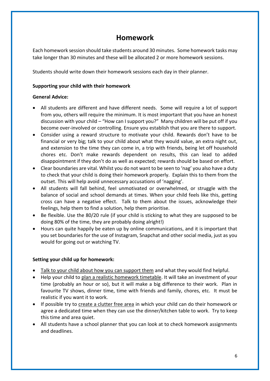### **Homework**

Each homework session should take students around 30 minutes. Some homework tasks may take longer than 30 minutes and these will be allocated 2 or more homework sessions.

Students should write down their homework sessions each day in their planner.

### **Supporting your child with their homework**

### **General Advice:**

- All students are different and have different needs. Some will require a lot of support from you, others will require the minimum. It is most important that you have an honest discussion with your child – "How can I support you?" Many children will be put off if you become over-involved or controlling. Ensure you establish that you are there to support.
- Consider using a reward structure to motivate your child. Rewards don't have to be financial or very big; talk to your child about what they would value, an extra night out, and extension to the time they can come in, a trip with friends, being let off household chores etc. Don't make rewards dependent on results, this can lead to added disappointment if they don't do as well as expected; rewards should be based on effort.
- Clear boundaries are vital. Whilst you do not want to be seen to 'nag' you also have a duty to check that your child is doing their homework properly. Explain this to them from the outset. This will help avoid unnecessary accusations of 'nagging'.
- All students will fall behind, feel unmotivated or overwhelmed, or struggle with the balance of social and school demands at times. When your child feels like this, getting cross can have a negative effect. Talk to them about the issues, acknowledge their feelings, help them to find a solution, help them prioritise.
- Be flexible. Use the 80/20 rule (if your child is sticking to what they are supposed to be doing 80% of the time, they are probably doing alright!)
- Hours can quite happily be eaten up by online communications, and it is important that you set boundaries for the use of Instagram, Snapchat and other social media, just as you would for going out or watching TV.

### **Setting your child up for homework:**

- Talk to your child about how you can support them and what they would find helpful.
- Help your child to plan a realistic homework timetable. It will take an investment of your time (probably an hour or so), but it will make a big difference to their work. Plan in favourite TV shows, dinner time, time with friends and family, chores, etc. It must be realistic if you want it to work.
- If possible try to create a clutter free area in which your child can do their homework or agree a dedicated time when they can use the dinner/kitchen table to work. Try to keep this time and area quiet.
- All students have a school planner that you can look at to check homework assignments and deadlines.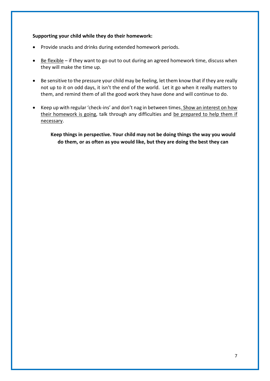#### **Supporting your child while they do their homework:**

- Provide snacks and drinks during extended homework periods.
- Be flexible if they want to go out to out during an agreed homework time, discuss when they will make the time up.
- Be sensitive to the pressure your child may be feeling, let them know that if they are really not up to it on odd days, it isn't the end of the world. Let it go when it really matters to them, and remind them of all the good work they have done and will continue to do.
- Keep up with regular 'check-ins' and don't nag in between times. Show an interest on how their homework is going, talk through any difficulties and be prepared to help them if necessary.

**Keep things in perspective. Your child may not be doing things the way you would do them, or as often as you would like, but they are doing the best they can**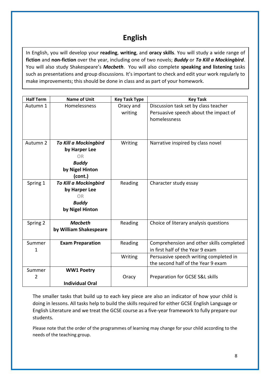# **English**

In English, you will develop your **reading**, **writing**, and **oracy skills**. You will study a wide range of **fiction** and **non-fiction** over the year, including one of two novels; *Buddy* or *To Kill a Mockingbird*. You will also study Shakespeare's *Macbeth*. You will also complete **speaking and listening** tasks such as presentations and group discussions. It's important to check and edit your work regularly to make improvements; this should be done in class and as part of your homework.

| <b>Half Term</b> | <b>Name of Unit</b>                                                                               | <b>Key Task Type</b> | <b>Key Task</b>                                                                               |
|------------------|---------------------------------------------------------------------------------------------------|----------------------|-----------------------------------------------------------------------------------------------|
| Autumn 1         | Homelessness                                                                                      | Oracy and<br>writing | Discussion task set by class teacher<br>Persuasive speech about the impact of<br>homelessness |
| Autumn 2         | <b>To Kill a Mockingbird</b><br>by Harper Lee<br>OR<br><b>Buddy</b><br>by Nigel Hinton<br>(cont.) | Writing              | Narrative inspired by class novel                                                             |
| Spring 1         | <b>To Kill a Mockingbird</b><br>by Harper Lee<br><b>OR</b><br><b>Buddy</b><br>by Nigel Hinton     | Reading              | Character study essay                                                                         |
| Spring 2         | <b>Macbeth</b><br>by William Shakespeare                                                          | Reading              | Choice of literary analysis questions                                                         |
| Summer<br>1      | <b>Exam Preparation</b>                                                                           | Reading              | Comprehension and other skills completed<br>in first half of the Year 9 exam                  |
|                  |                                                                                                   | Writing              | Persuasive speech writing completed in<br>the second half of the Year 9 exam                  |
| Summer<br>2      | <b>WW1 Poetry</b><br><b>Individual Oral</b>                                                       | Oracy                | Preparation for GCSE S&L skills                                                               |

The smaller tasks that build up to each key piece are also an indicator of how your child is doing in lessons. All tasks help to build the skills required for either GCSE English Language or English Literature and we treat the GCSE course as a five-year framework to fully prepare our students.

Please note that the order of the programmes of learning may change for your child according to the needs of the teaching group.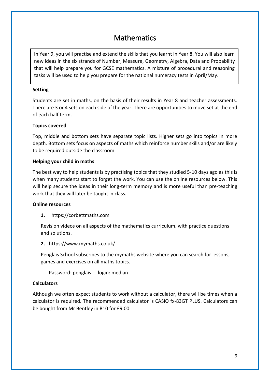# Mathematics

In Year 9, you will practise and extend the skills that you learnt in Year 8. You will also learn new ideas in the six strands of Number, Measure, Geometry, Algebra, Data and Probability that will help prepare you for GCSE mathematics. A mixture of procedural and reasoning tasks will be used to help you prepare for the national numeracy tests in April/May.

#### **Setting**

Students are set in maths, on the basis of their results in Year 8 and teacher assessments. There are 3 or 4 sets on each side of the year. There are opportunities to move set at the end of each half term.

#### **Topics covered**

Top, middle and bottom sets have separate topic lists. Higher sets go into topics in more depth. Bottom sets focus on aspects of maths which reinforce number skills and/or are likely to be required outside the classroom.

#### **Helping your child in maths**

The best way to help students is by practising topics that they studied 5-10 days ago as this is when many students start to forget the work. You can use the online resources below. This will help secure the ideas in their long-term memory and is more useful than pre-teaching work that they will later be taught in class.

#### **Online resources**

**1.** https://corbettmaths.com

Revision videos on all aspects of the mathematics curriculum, with practice questions and solutions.

**2.** https://www.mymaths.co.uk/

Penglais School subscribes to the mymaths website where you can search for lessons, games and exercises on all maths topics.

Password: penglais login: median

#### **Calculators**

Although we often expect students to work without a calculator, there will be times when a calculator is required. The recommended calculator is CASIO fx-83GT PLUS. Calculators can be bought from Mr Bentley in B10 for £9.00.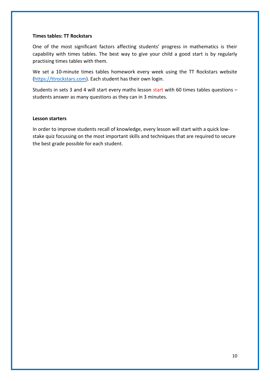#### **Times tables: TT Rockstars**

One of the most significant factors affecting students' progress in mathematics is their capability with times tables. The best way to give your child a good start is by regularly practising times tables with them.

We set a 10-minute times tables homework every week using the TT Rockstars website [\(https://ttrockstars.com\)](https://ttrockstars.com/). Each student has their own login.

Students in sets 3 and 4 will start every maths lesson start with 60 times tables questions – students answer as many questions as they can in 3 minutes.

#### **Lesson starters**

In order to improve students recall of knowledge, every lesson will start with a quick lowstake quiz focussing on the most important skills and techniques that are required to secure the best grade possible for each student.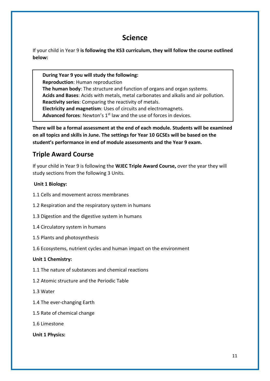### **Science**

If your child in Year 9 **is following the KS3 curriculum, they will follow the course outlined below:**

**During Year 9 you will study the following: Reproduction**: Human reproduction **The human body**: The structure and function of organs and organ systems. **Acids and Bases**: Acids with metals, metal carbonates and alkalis and air pollution. **Reactivity series**: Comparing the reactivity of metals. **Electricity and magnetism**: Uses of circuits and electromagnets. Advanced forces: Newton's 1<sup>st</sup> law and the use of forces in devices.

**There will be a formal assessment at the end of each module. Students will be examined on all topics and skills in June. The settings for Year 10 GCSEs will be based on the student's performance in end of module assessments and the Year 9 exam.**

### **Triple Award Course**

If your child in Year 9 is following the **WJEC Triple Award Course,** over the year they will study sections from the following 3 Units.

### **Unit 1 Biology:**

- 1.1 Cells and movement across membranes
- 1.2 Respiration and the respiratory system in humans
- 1.3 Digestion and the digestive system in humans
- 1.4 Circulatory system in humans
- 1.5 Plants and photosynthesis
- 1.6 Ecosystems, nutrient cycles and human impact on the environment

### **Unit 1 Chemistry:**

- 1.1 The nature of substances and chemical reactions
- 1.2 Atomic structure and the Periodic Table
- 1.3 Water
- 1.4 The ever-changing Earth
- 1.5 Rate of chemical change
- 1.6 Limestone

**Unit 1 Physics:**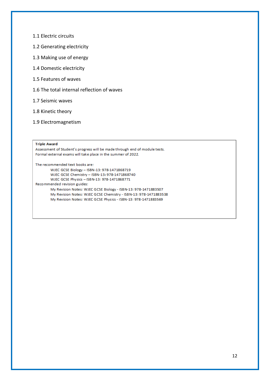- 1.1 Electric circuits
- 1.2 Generating electricity
- 1.3 Making use of energy
- 1.4 Domestic electricity
- 1.5 Features of waves
- 1.6 The total internal reflection of waves
- 1.7 Seismic waves
- 1.8 Kinetic theory
- 1.9 Electromagnetism

#### **Triple Award**

Assessment of Student's progress will be made through end of module tests. Formal external exams will take place in the summer of 2022.

The recommended text books are:

WJEC GCSE Biology - ISBN-13: 978-1471868719 WJEC GCSE Chemistry - ISBN-13: 978-1471868740 WJEC GCSE Physics - ISBN-13: 978-1471868771 Recommended revision guides: My Revision Notes: WJEC GCSE Biology - ISBN-13: 978-1471883507 My Revision Notes: WJEC GCSE Chemistry - ISBN-13: 978-1471883538 My Revision Notes: WJEC GCSE Physics - ISBN-13: 978-1471883569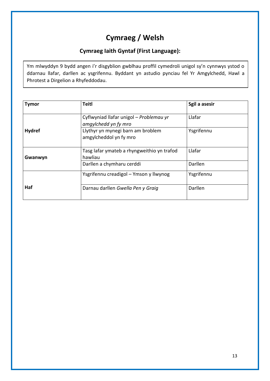# **Cymraeg / Welsh**

### **Cymraeg Iaith Gyntaf (First Language):**

Ym mlwyddyn 9 bydd angen i'r disgyblion gwblhau proffil cymedroli unigol sy'n cynnwys ystod o ddarnau llafar, darllen ac ysgrifennu. Byddant yn astudio pynciau fel Yr Amgylchedd, Hawl a Phrotest a Dirgelion a Rhyfeddodau.

| <b>Tymor</b>  | <b>Teitl</b>                                                    | Sgil a asesir |
|---------------|-----------------------------------------------------------------|---------------|
|               | Cyflwyniad llafar unigol – Problemau yr<br>amgylchedd yn fy mro | Llafar        |
| <b>Hydref</b> | Llythyr yn mynegi barn am broblem<br>amgylcheddol yn fy mro     | Ysgrifennu    |
| Gwanwyn       | Tasg lafar ymateb a rhyngweithio yn trafod<br>hawliau           | Llafar        |
|               | Darllen a chymharu cerddi                                       | Darllen       |
|               | Ysgrifennu creadigol – Ymson y llwynog                          | Ysgrifennu    |
| Haf           | Darnau darllen Gwella Pen y Graig                               | Darllen       |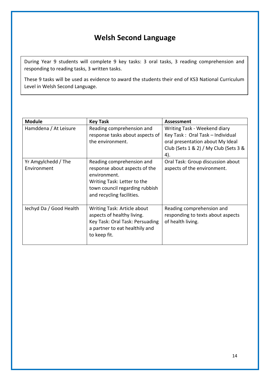# **Welsh Second Language**

During Year 9 students will complete 9 key tasks: 3 oral tasks, 3 reading comprehension and responding to reading tasks, 3 written tasks.

These 9 tasks will be used as evidence to award the students their end of KS3 National Curriculum Level in Welsh Second Language.

| <b>Module</b>                      | <b>Key Task</b>                                                                                                                                                          | Assessment                                                                                                                                           |
|------------------------------------|--------------------------------------------------------------------------------------------------------------------------------------------------------------------------|------------------------------------------------------------------------------------------------------------------------------------------------------|
| Hamddena / At Leisure              | Reading comprehension and<br>response tasks about aspects of<br>the environment.                                                                                         | Writing Task - Weekend diary<br>Key Task: Oral Task - Individual<br>oral presentation about My Ideal<br>Club (Sets 1 & 2) / My Club (Sets 3 &<br>4). |
| Yr Amgylchedd / The<br>Environment | Reading comprehension and<br>response about aspects of the<br>environment.<br>Writing Task: Letter to the<br>town council regarding rubbish<br>and recycling facilities. | Oral Task: Group discussion about<br>aspects of the environment.                                                                                     |
| lechyd Da / Good Health            | Writing Task: Article about<br>aspects of healthy living.<br>Key Task: Oral Task: Persuading<br>a partner to eat healthily and<br>to keep fit.                           | Reading comprehension and<br>responding to texts about aspects<br>of health living.                                                                  |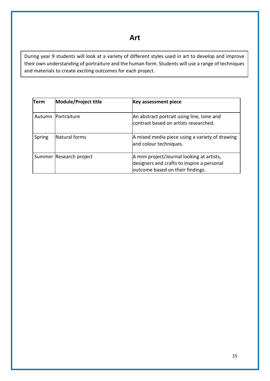**Art**

During year 9 students will look at a variety of different styles used in art to develop and improve their own understanding of portraiture and the human form. Students will use a range of techniques and materials to create exciting outcomes for each project.

| Term   | <b>Module/Project title</b> | <b>Key assessment piece</b>                                                                                                  |
|--------|-----------------------------|------------------------------------------------------------------------------------------------------------------------------|
|        | Autumn   Portraiture        | An abstract portrait using line, tone and<br>lcontrast based on artists researched.                                          |
| Spring | Natural forms               | A mixed media piece using a variety of drawing<br>and colour techniques.                                                     |
|        | Summer Research project     | A mini project/Journal looking at artists,<br>designers and crafts to inspire a personal<br>outcome based on their findings. |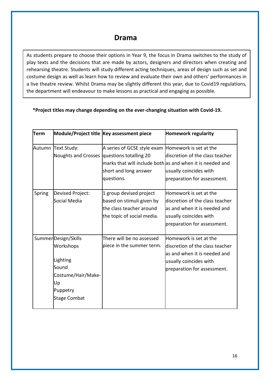### **Drama**

As students prepare to choose their options in Year 9, the focus in Drama switches to the study of play texts and the decisions that are made by actors, designers and directors when creating and rehearsing theatre. Students will study different acting techniques, areas of design such as set and costume design as well as learn how to review and evaluate their own and others' performances in a live theatre review. Whilst Drama may be slightly different this year, due to Covid19 regulations, the department will endeavour to make lessons as practical and engaging as possible.

### **\*Project titles may change depending on the ever-changing situation with Covid-19.**

| Term   |                      | Module/Project title Key assessment piece          | <b>Homework regularity</b>                                |
|--------|----------------------|----------------------------------------------------|-----------------------------------------------------------|
|        | Autumn Text Study:   | A series of GCSE style exam Homework is set at the |                                                           |
|        |                      | Noughts and Crosses questions totalling 20         | discretion of the class teacher                           |
|        |                      |                                                    | marks that will include both as and when it is needed and |
|        |                      | short and long answer                              | usually coincides with                                    |
|        |                      | questions.                                         | preparation for assessment.                               |
|        |                      |                                                    |                                                           |
| Spring | Devised Project:     | 1 group devised project                            | Homework is set at the                                    |
|        | Social Media         | based on stimuli given by                          | discretion of the class teacher                           |
|        |                      | the class teacher around                           | as and when it is needed and                              |
|        |                      | the topic of social media.                         | usually coincides with                                    |
|        |                      |                                                    | preparation for assessment.                               |
|        |                      |                                                    |                                                           |
|        | Summer Design/Skills | There will be no assessed                          | Homework is set at the                                    |
|        | Workshops            | piece in the summer term.                          | discretion of the class teacher                           |
|        |                      |                                                    | as and when it is needed and                              |
|        | Lighting             |                                                    | usually coincides with                                    |
|        | Sound                |                                                    | preparation for assessment.                               |
|        | Costume/Hair/Make-   |                                                    |                                                           |
|        | Up                   |                                                    |                                                           |
|        | Puppetry             |                                                    |                                                           |
|        | <b>Stage Combat</b>  |                                                    |                                                           |
|        |                      |                                                    |                                                           |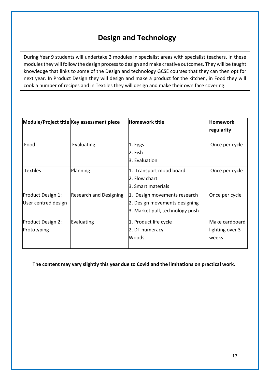# **Design and Technology**

During Year 9 students will undertake 3 modules in specialist areas with specialist teachers. In these modules they will follow the design process to design and make creative outcomes. They will be taught knowledge that links to some of the Design and technology GCSE courses that they can then opt for next year. In Product Design they will design and make a product for the kitchen, in Food they will cook a number of recipes and in Textiles they will design and make their own face covering.

|                                          | Module/Project title Key assessment piece | Homework title                                                                                   | <b>Homework</b>                            |
|------------------------------------------|-------------------------------------------|--------------------------------------------------------------------------------------------------|--------------------------------------------|
|                                          |                                           |                                                                                                  | regularity                                 |
| Food                                     | Evaluating                                | 1. Eggs<br>2. Fish<br>3. Evaluation                                                              | Once per cycle                             |
| <b>Textiles</b>                          | Planning                                  | 1. Transport mood board<br>2. Flow chart<br>l3. Smart materials                                  | Once per cycle                             |
| Product Design 1:<br>User centred design | <b>Research and Designing</b>             | 1. Design movements research<br>2. Design movements designing<br>3. Market pull, technology push | Once per cycle                             |
| Product Design 2:<br>Prototyping         | Evaluating                                | 1. Product life cycle<br>2. DT numeracy<br>lWoods                                                | Make cardboard<br>lighting over 3<br>weeks |

**The content may vary slightly this year due to Covid and the limitations on practical work.**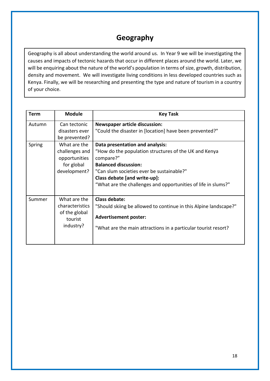# **Geography**

Geography is all about understanding the world around us. In Year 9 we will be investigating the causes and impacts of tectonic hazards that occur in different places around the world. Later, we will be enquiring about the nature of the world's population in terms of size, growth, distribution, density and movement. We will investigate living conditions in less developed countries such as Kenya. Finally, we will be researching and presenting the type and nature of tourism in a country of your choice.

| <b>Term</b> | <b>Module</b>                                                                 | <b>Key Task</b>                                                                                                                                                                                                                                                                    |
|-------------|-------------------------------------------------------------------------------|------------------------------------------------------------------------------------------------------------------------------------------------------------------------------------------------------------------------------------------------------------------------------------|
| Autumn      | Can tectonic<br>disasters ever<br>be prevented?                               | <b>Newspaper article discussion:</b><br>"Could the disaster in [location] have been prevented?"                                                                                                                                                                                    |
| Spring      | What are the<br>challenges and<br>opportunities<br>for global<br>development? | Data presentation and analysis:<br>"How do the population structures of the UK and Kenya<br>compare?"<br><b>Balanced discussion:</b><br>"Can slum societies ever be sustainable?"<br>Class debate [and write-up]:<br>"What are the challenges and opportunities of life in slums?" |
| Summer      | What are the<br>characteristics<br>of the global<br>tourist<br>industry?      | Class debate:<br>"Should skiing be allowed to continue in this Alpine landscape?"<br><b>Advertisement poster:</b><br>"What are the main attractions in a particular tourist resort?                                                                                                |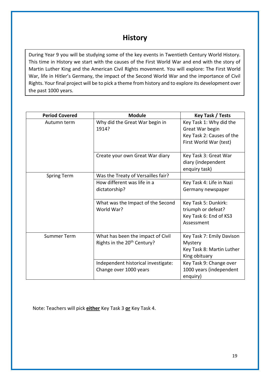### **History**

During Year 9 you will be studying some of the key events in Twentieth Century World History. This time in History we start with the causes of the First World War and end with the story of Martin Luther King and the American Civil Rights movement. You will explore: The First World War, life in Hitler's Germany, the impact of the Second World War and the importance of Civil Rights. Your final project will be to pick a theme from history and to explore its development over the past 1000 years.

| <b>Period Covered</b> | <b>Module</b>                                                                | Key Task / Tests                                                                                  |
|-----------------------|------------------------------------------------------------------------------|---------------------------------------------------------------------------------------------------|
| Autumn term           | Why did the Great War begin in<br>1914?                                      | Key Task 1: Why did the<br>Great War begin<br>Key Task 2: Causes of the<br>First World War (test) |
|                       | Create your own Great War diary                                              | Key Task 3: Great War<br>diary (independent<br>enquiry task)                                      |
| <b>Spring Term</b>    | Was the Treaty of Versailles fair?                                           |                                                                                                   |
|                       | How different was life in a<br>dictatorship?                                 | Key Task 4: Life in Nazi<br>Germany newspaper                                                     |
|                       | What was the Impact of the Second<br>World War?                              | Key Task 5: Dunkirk:<br>triumph or defeat?<br>Key Task 6: End of KS3<br>Assessment                |
| <b>Summer Term</b>    | What has been the impact of Civil<br>Rights in the 20 <sup>th</sup> Century? | Key Task 7: Emily Davison<br>Mystery<br>Key Task 8: Martin Luther<br>King obituary                |
|                       | Independent historical investigate:<br>Change over 1000 years                | Key Task 9: Change over<br>1000 years (independent<br>enquiry)                                    |

Note: Teachers will pick **either** Key Task 3 **or** Key Task 4.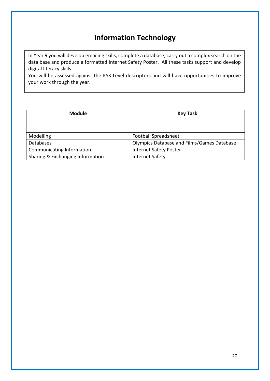# **Information Technology**

In Year 9 you will develop emailing skills, complete a database, carry out a complex search on the data base and produce a formatted Internet Safety Poster. All these tasks support and develop digital literacy skills.

You will be assessed against the KS3 Level descriptors and will have opportunities to improve your work through the year.

| <b>Module</b>                    | <b>Key Task</b>                            |
|----------------------------------|--------------------------------------------|
|                                  |                                            |
| Modelling                        | <b>Football Spreadsheet</b>                |
| <b>Databases</b>                 | Olympics Database and Films/Games Database |
| Communicating Information        | <b>Internet Safety Poster</b>              |
| Sharing & Exchanging Information | <b>Internet Safety</b>                     |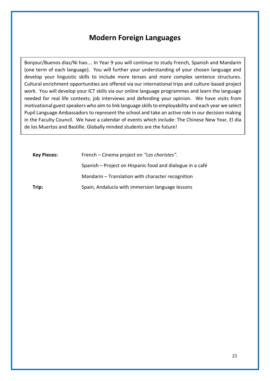### **Modern Foreign Languages**

Bonjour/Buenos días/Ni hao…. In Year 9 you will continue to study French, Spanish and Mandarin (one term of each language). You will further your understanding of your chosen language and develop your linguistic skills to include more tenses and more complex sentence structures. Cultural enrichment opportunities are offered via our international trips and culture-based project work. You will develop your ICT skills via our online language programmes and learn the language needed for real life contexts; job interviews and defending your opinion. We have visits from motivational guest speakers who aim to link language skills to employability and each year we select Pupil Language Ambassadors to represent the school and take an active role in our decision making in the Faculty Council. We have a calendar of events which include: The Chinese New Year, El día de los Muertos and Bastille. Globally minded students are the future!

| <b>Key Pieces:</b> | French – Cinema project on "Les choristes".               |
|--------------------|-----------------------------------------------------------|
|                    | Spanish – Project on Hispanic food and dialogue in a café |
|                    | Mandarin – Translation with character recognition         |
| Trip:              | Spain, Andalucía with immersion language lessons          |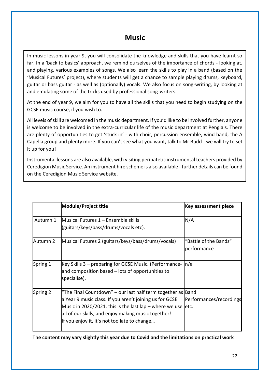### **Music**

In music lessons in year 9, you will consolidate the knowledge and skills that you have learnt so far. In a 'back to basics' approach, we remind ourselves of the importance of chords - looking at, and playing, various examples of songs. We also learn the skills to play in a band (based on the 'Musical Futures' project), where students will get a chance to sample playing drums, keyboard, guitar or bass guitar - as well as (optionally) vocals. We also focus on song-writing, by looking at and emulating some of the tricks used by professional song-writers.

At the end of year 9, we aim for you to have all the skills that you need to begin studying on the GCSE music course, if you wish to.

All levels of skill are welcomed in the music department. If you'd like to be involved further, anyone is welcome to be involved in the extra-curricular life of the music department at Penglais. There are plenty of opportunities to get 'stuck in' - with choir, percussion ensemble, wind band, the A Capella group and plenty more. If you can't see what you want, talk to Mr Budd - we will try to set it up for you!

Instrumental lessons are also available, with visiting peripatetic instrumental teachers provided by Ceredigion Music Service. An instrument hire scheme is also available - further details can be found on the Ceredigion Music Service website.

|          | <b>Module/Project title</b>                                                                                                                                                                                                                                                              | <b>Key assessment piece</b>          |
|----------|------------------------------------------------------------------------------------------------------------------------------------------------------------------------------------------------------------------------------------------------------------------------------------------|--------------------------------------|
| Autumn 1 | <b>IMusical Futures 1 – Ensemble skills</b><br>(guitars/keys/bass/drums/vocals etc).                                                                                                                                                                                                     | N/A                                  |
| Autumn 2 | Musical Futures 2 (guitars/keys/bass/drums/vocals)                                                                                                                                                                                                                                       | "Battle of the Bands"<br>performance |
| Spring 1 | Key Skills 3 – preparing for GCSE Music. (Performance-<br>and composition based – lots of opportunities to<br>specialise).                                                                                                                                                               | ln/a                                 |
| Spring 2 | "The Final Countdown" – our last half term together as Band<br>a Year 9 music class. If you aren't joining us for GCSE<br>Music in 2020/2021, this is the last lap – where we use<br>all of our skills, and enjoy making music together!<br>If you enjoy it, it's not too late to change | Performances/recordings<br>letc.     |

**The content may vary slightly this year due to Covid and the limitations on practical work**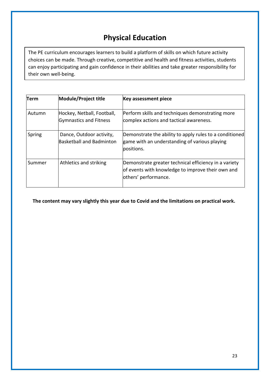# **Physical Education**

The PE curriculum encourages learners to build a platform of skills on which future activity choices can be made. Through creative, competitive and health and fitness activities, students can enjoy participating and gain confidence in their abilities and take greater responsibility for their own well-being.

| Term   | Module/Project title                                 | <b>Key assessment piece</b>                                                                                                        |
|--------|------------------------------------------------------|------------------------------------------------------------------------------------------------------------------------------------|
| Autumn | Hockey, Netball, Football,<br>Gymnastics and Fitness | Perform skills and techniques demonstrating more<br>complex actions and tactical awareness.                                        |
| Spring | Dance, Outdoor activity,<br>Basketball and Badminton | Demonstrate the ability to apply rules to a conditioned<br>game with an understanding of various playing<br>positions.             |
| Summer | Athletics and striking                               | Demonstrate greater technical efficiency in a variety<br>of events with knowledge to improve their own and<br>others' performance. |

**The content may vary slightly this year due to Covid and the limitations on practical work.**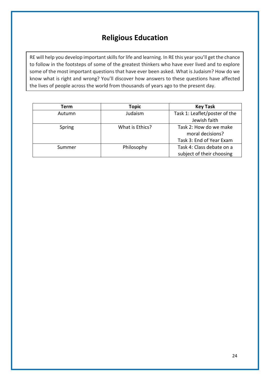## **Religious Education**

RE will help you develop important skills for life and learning. In RE this year you'll get the chance to follow in the footsteps of some of the greatest thinkers who have ever lived and to explore some of the most important questions that have ever been asked. What is Judaism? How do we know what is right and wrong? You'll discover how answers to these questions have affected the lives of people across the world from thousands of years ago to the present day.

| <b>Term</b> | <b>Topic</b>    | <b>Key Task</b>               |
|-------------|-----------------|-------------------------------|
| Autumn      | Judaism         | Task 1: Leaflet/poster of the |
|             |                 | Jewish faith                  |
| Spring      | What is Ethics? | Task 2: How do we make        |
|             |                 | moral decisions?              |
|             |                 | Task 3: End of Year Exam      |
| Summer      | Philosophy      | Task 4: Class debate on a     |
|             |                 | subject of their choosing     |